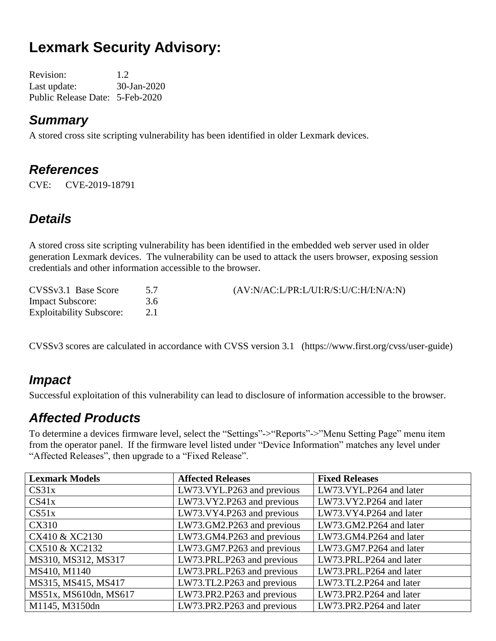# **Lexmark Security Advisory:**

Revision: 1.2 Last update: 30-Jan-2020 Public Release Date: 5-Feb-2020

#### *Summary*

A stored cross site scripting vulnerability has been identified in older Lexmark devices.

### *References*

CVE: CVE-2019-18791

### *Details*

A stored cross site scripting vulnerability has been identified in the embedded web server used in older generation Lexmark devices. The vulnerability can be used to attack the users browser, exposing session credentials and other information accessible to the browser.

| CVSSv3.1 Base Score             |     | (AV:N/AC:L/PR:L/UI:R/S:U/C:H/I:N/A:N) |
|---------------------------------|-----|---------------------------------------|
| <b>Impact Subscore:</b>         | 3.6 |                                       |
| <b>Exploitability Subscore:</b> |     |                                       |

CVSSv3 scores are calculated in accordance with CVSS version 3.1 (https://www.first.org/cvss/user-guide)

#### *Impact*

Successful exploitation of this vulnerability can lead to disclosure of information accessible to the browser.

## *Affected Products*

To determine a devices firmware level, select the "Settings"->"Reports"->"Menu Setting Page" menu item from the operator panel. If the firmware level listed under "Device Information" matches any level under "Affected Releases", then upgrade to a "Fixed Release".

| <b>Lexmark Models</b> | <b>Affected Releases</b>   | <b>Fixed Releases</b>   |
|-----------------------|----------------------------|-------------------------|
| CS31x                 | LW73.VYL.P263 and previous | LW73.VYL.P264 and later |
| CS41x                 | LW73.VY2.P263 and previous | LW73.VY2.P264 and later |
| CS51x                 | LW73.VY4.P263 and previous | LW73.VY4.P264 and later |
| <b>CX310</b>          | LW73.GM2.P263 and previous | LW73.GM2.P264 and later |
| CX410 & XC2130        | LW73.GM4.P263 and previous | LW73.GM4.P264 and later |
| CX510 & XC2132        | LW73.GM7.P263 and previous | LW73.GM7.P264 and later |
| MS310, MS312, MS317   | LW73.PRL.P263 and previous | LW73.PRL.P264 and later |
| MS410, M1140          | LW73.PRL.P263 and previous | LW73.PRL.P264 and later |
| MS315, MS415, MS417   | LW73.TL2.P263 and previous | LW73.TL2.P264 and later |
| MS51x, MS610dn, MS617 | LW73.PR2.P263 and previous | LW73.PR2.P264 and later |
| M1145, M3150dn        | LW73.PR2.P263 and previous | LW73.PR2.P264 and later |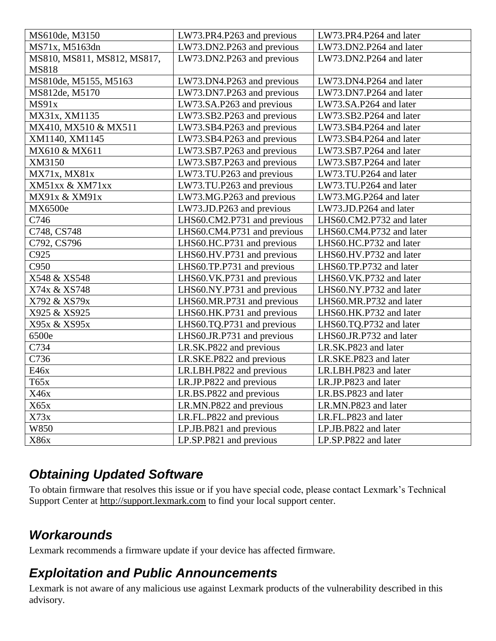| MS610de, M3150              | LW73.PR4.P263 and previous  | LW73.PR4.P264 and later  |
|-----------------------------|-----------------------------|--------------------------|
| MS71x, M5163dn              | LW73.DN2.P263 and previous  | LW73.DN2.P264 and later  |
| MS810, MS811, MS812, MS817, | LW73.DN2.P263 and previous  | LW73.DN2.P264 and later  |
| <b>MS818</b>                |                             |                          |
| MS810de, M5155, M5163       | LW73.DN4.P263 and previous  | LW73.DN4.P264 and later  |
| MS812de, M5170              | LW73.DN7.P263 and previous  | LW73.DN7.P264 and later  |
| MS91x                       | LW73.SA.P263 and previous   | LW73.SA.P264 and later   |
| MX31x, XM1135               | LW73.SB2.P263 and previous  | LW73.SB2.P264 and later  |
| MX410, MX510 & MX511        | LW73.SB4.P263 and previous  | LW73.SB4.P264 and later  |
| XM1140, XM1145              | LW73.SB4.P263 and previous  | LW73.SB4.P264 and later  |
| MX610 & MX611               | LW73.SB7.P263 and previous  | LW73.SB7.P264 and later  |
| XM3150                      | LW73.SB7.P263 and previous  | LW73.SB7.P264 and later  |
| MX71x, MX81x                | LW73.TU.P263 and previous   | LW73.TU.P264 and later   |
| XM51xx & XM71xx             | LW73.TU.P263 and previous   | LW73.TU.P264 and later   |
| MX91x & XM91x               | LW73.MG.P263 and previous   | LW73.MG.P264 and later   |
| MX6500e                     | LW73.JD.P263 and previous   | LW73.JD.P264 and later   |
| C746                        | LHS60.CM2.P731 and previous | LHS60.CM2.P732 and later |
| C748, CS748                 | LHS60.CM4.P731 and previous | LHS60.CM4.P732 and later |
| C792, CS796                 | LHS60.HC.P731 and previous  | LHS60.HC.P732 and later  |
| C925                        | LHS60.HV.P731 and previous  | LHS60.HV.P732 and later  |
| C950                        | LHS60.TP.P731 and previous  | LHS60.TP.P732 and later  |
| X548 & XS548                | LHS60.VK.P731 and previous  | LHS60.VK.P732 and later  |
| X74x & XS748                | LHS60.NY.P731 and previous  | LHS60.NY.P732 and later  |
| X792 & XS79x                | LHS60.MR.P731 and previous  | LHS60.MR.P732 and later  |
| X925 & XS925                | LHS60.HK.P731 and previous  | LHS60.HK.P732 and later  |
| X95x & XS95x                | LHS60.TQ.P731 and previous  | LHS60.TQ.P732 and later  |
| 6500e                       | LHS60.JR.P731 and previous  | LHS60.JR.P732 and later  |
| C734                        | LR.SK.P822 and previous     | LR.SK.P823 and later     |
| C736                        | LR.SKE.P822 and previous    | LR.SKE.P823 and later    |
| E46x                        | LR.LBH.P822 and previous    | LR.LBH.P823 and later    |
| T65x                        | LR.JP.P822 and previous     | LR.JP.P823 and later     |
| X46x                        | LR.BS.P822 and previous     | LR.BS.P823 and later     |
| X65x                        | LR.MN.P822 and previous     | LR.MN.P823 and later     |
| X73x                        | LR.FL.P822 and previous     | LR.FL.P823 and later     |
| W850                        | LP.JB.P821 and previous     | LP.JB.P822 and later     |
| X86x                        | LP.SP.P821 and previous     | LP.SP.P822 and later     |

## *Obtaining Updated Software*

To obtain firmware that resolves this issue or if you have special code, please contact Lexmark's Technical Support Center at [http://support.lexmark.com](http://support.lexmark.com/) to find your local support center.

## *Workarounds*

Lexmark recommends a firmware update if your device has affected firmware.

#### *Exploitation and Public Announcements*

Lexmark is not aware of any malicious use against Lexmark products of the vulnerability described in this advisory.